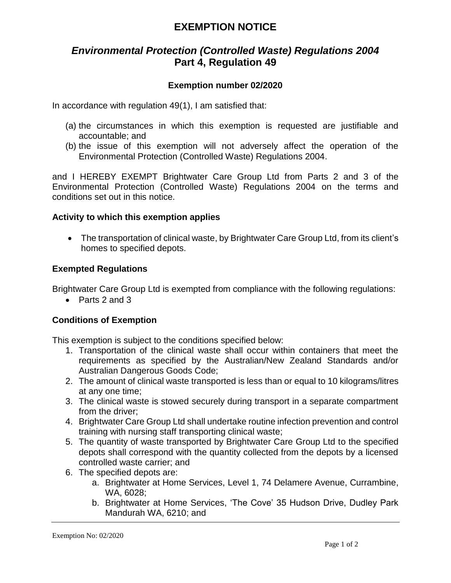# **EXEMPTION NOTICE**

# *Environmental Protection (Controlled Waste) Regulations 2004* **Part 4, Regulation 49**

## **Exemption number 02/2020**

In accordance with regulation 49(1), I am satisfied that:

- (a) the circumstances in which this exemption is requested are justifiable and accountable; and
- (b) the issue of this exemption will not adversely affect the operation of the Environmental Protection (Controlled Waste) Regulations 2004.

and I HEREBY EXEMPT Brightwater Care Group Ltd from Parts 2 and 3 of the Environmental Protection (Controlled Waste) Regulations 2004 on the terms and conditions set out in this notice.

### **Activity to which this exemption applies**

• The transportation of clinical waste, by Brightwater Care Group Ltd, from its client's homes to specified depots.

### **Exempted Regulations**

Brightwater Care Group Ltd is exempted from compliance with the following regulations:

• Parts 2 and 3

## **Conditions of Exemption**

This exemption is subject to the conditions specified below:

- 1. Transportation of the clinical waste shall occur within containers that meet the requirements as specified by the Australian/New Zealand Standards and/or Australian Dangerous Goods Code;
- 2. The amount of clinical waste transported is less than or equal to 10 kilograms/litres at any one time;
- 3. The clinical waste is stowed securely during transport in a separate compartment from the driver;
- 4. Brightwater Care Group Ltd shall undertake routine infection prevention and control training with nursing staff transporting clinical waste;
- 5. The quantity of waste transported by Brightwater Care Group Ltd to the specified depots shall correspond with the quantity collected from the depots by a licensed controlled waste carrier; and
- 6. The specified depots are:
	- a. Brightwater at Home Services, Level 1, 74 Delamere Avenue, Currambine, WA, 6028;
	- b. Brightwater at Home Services, 'The Cove' 35 Hudson Drive, Dudley Park Mandurah WA, 6210; and